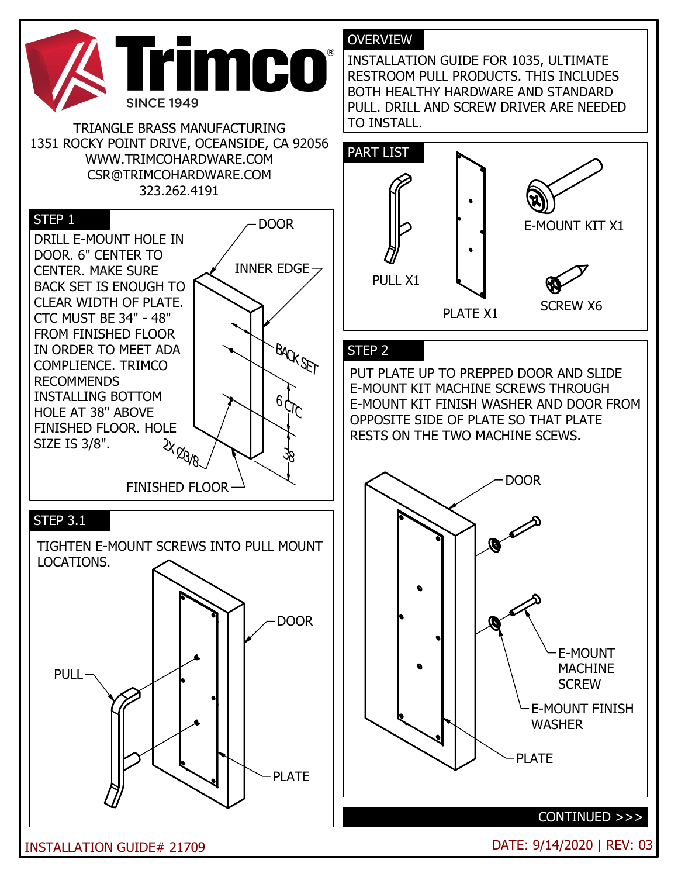

TRIANGLE BRASS MANUFACTURING 1351 ROCKY POINT DRIVE, OCEANSIDE, CA 92056 WWW.TRIMCOHARDWARE.COM CSR@TRIMCOHARDWARE.COM 323.262.4191



## OVERVIEW

INSTALLATION GUIDE FOR 1035, ULTIMATE RESTROOM PULL PRODUCTS. THIS INCLUDES BOTH HEALTHY HARDWARE AND STANDARD PULL. DRILL AND SCREW DRIVER ARE NEEDED TO INSTALL.



## STEP 2

PUT PLATE UP TO PREPPED DOOR AND SLIDE E-MOUNT KIT MACHINE SCREWS THROUGH E-MOUNT KIT FINISH WASHER AND DOOR FROM OPPOSITE SIDE OF PLATE SO THAT PLATE RESTS ON THE TWO MACHINE SCEWS.



INSTALLATION GUIDE# 21709 DATE: 9/14/2020 | REV: 03